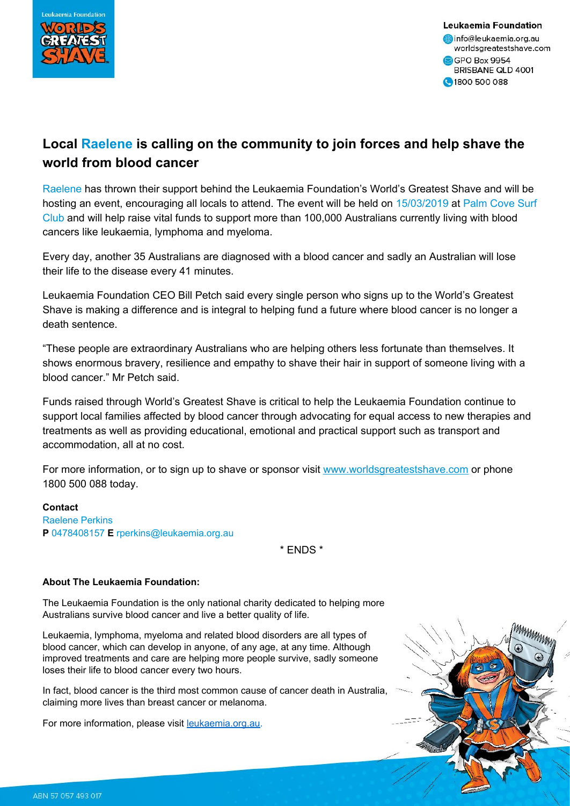

Leukaemia Foundation info@leukaemia.org.au worldsgreatestshave.com GPO Box 9954 BRISBANE QLD 4001 1800 500 088

## **Local Raelene is calling on the community to join forces and help shave the world from blood cancer**

Raelene has thrown their support behind the Leukaemia Foundation's World's Greatest Shave and will be hosting an event, encouraging all locals to attend. The event will be held on 15/03/2019 at Palm Cove Surf Club and will help raise vital funds to support more than 100,000 Australians currently living with blood cancers like leukaemia, lymphoma and myeloma.

Every day, another 35 Australians are diagnosed with a blood cancer and sadly an Australian will lose their life to the disease every 41 minutes.

Leukaemia Foundation CEO Bill Petch said every single person who signs up to the World's Greatest Shave is making a difference and is integral to helping fund a future where blood cancer is no longer a death sentence.

"These people are extraordinary Australians who are helping others less fortunate than themselves. It shows enormous bravery, resilience and empathy to shave their hair in support of someone living with a blood cancer." Mr Petch said.

Funds raised through World's Greatest Shave is critical to help the Leukaemia Foundation continue to support local families affected by blood cancer through advocating for equal access to new therapies and treatments as well as providing educational, emotional and practical support such as transport and accommodation, all at no cost.

For more information, or to sign up to shave or sponsor visit [www.worldsgreatestshave.com](https://www.google.com/url?q=http://www.worldsgreatestshave.com/&sa=D&ust=1550018363121000&usg=AFQjCNFp-_9eCrK_BlGkOVgrtyJpieuAGw) or phone 1800 500 088 today.

## **Contact**

Raelene Perkins **P** 0478408157 **E** rperkins@leukaemia.org.au

\* ENDS \*

## **About The Leukaemia Foundation:**

The Leukaemia Foundation is the only national charity dedicated to helping more Australians survive blood cancer and live a better quality of life.

Leukaemia, lymphoma, myeloma and related blood disorders are all types of blood cancer, which can develop in anyone, of any age, at any time. Although improved treatments and care are helping more people survive, sadly someone loses their life to blood cancer every two hours.

In fact, blood cancer is the third most common cause of cancer death in Australia, claiming more lives than breast cancer or melanoma.

For more information, please visit **leukaemia.org.au**.